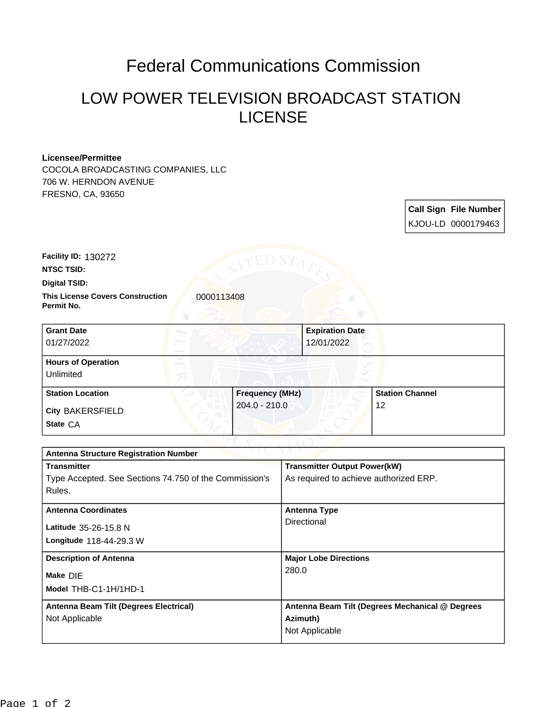## Federal Communications Commission

## LOW POWER TELEVISION BROADCAST STATION LICENSE

## **Licensee/Permittee**

COCOLA BROADCASTING COMPANIES, LLC 706 W. HERNDON AVENUE FRESNO, CA, 93650

| <b>Call Sign File Number</b> |
|------------------------------|
| KJOU-LD 0000179463           |

**Facility ID:** 130272

**NTSC TSID:**

**Digital TSID:**

**This License Covers Construction 10000113408 Permit No.**

| <b>Grant Date</b>                      | <b>Expiration Date</b> |                        |
|----------------------------------------|------------------------|------------------------|
| 01/27/2022                             | 12/01/2022             |                        |
| <b>Hours of Operation</b><br>Unlimited |                        |                        |
| <b>Station Location</b>                | <b>Frequency (MHz)</b> | <b>Station Channel</b> |
| <b>City BAKERSFIELD</b><br>State CA    | $204.0 - 210.0$        | 12                     |

| <b>Antenna Structure Registration Number</b>    |  |  |  |
|-------------------------------------------------|--|--|--|
| <b>Transmitter Output Power(kW)</b>             |  |  |  |
| As required to achieve authorized ERP.          |  |  |  |
|                                                 |  |  |  |
| <b>Antenna Type</b>                             |  |  |  |
| Directional                                     |  |  |  |
|                                                 |  |  |  |
| <b>Major Lobe Directions</b>                    |  |  |  |
| 280.0                                           |  |  |  |
|                                                 |  |  |  |
| Antenna Beam Tilt (Degrees Mechanical @ Degrees |  |  |  |
| Azimuth)                                        |  |  |  |
| Not Applicable                                  |  |  |  |
|                                                 |  |  |  |